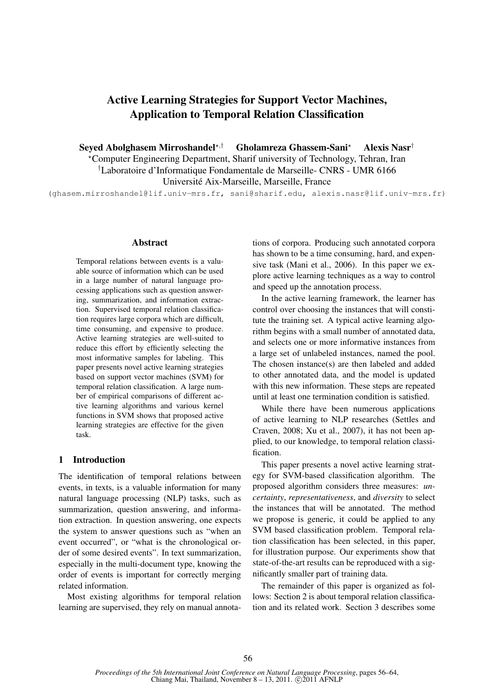# Active Learning Strategies for Support Vector Machines, Application to Temporal Relation Classification

Seyed Abolghasem Mirroshandel?,† Gholamreza Ghassem-Sani? Alexis Nasr† ?Computer Engineering Department, Sharif university of Technology, Tehran, Iran †Laboratoire d'Informatique Fondamentale de Marseille- CNRS - UMR 6166 Universite Aix-Marseille, Marseille, France ´

(ghasem.mirroshandel@lif.univ-mrs.fr, sani@sharif.edu, alexis.nasr@lif.univ-mrs.fr)

# Abstract

Temporal relations between events is a valuable source of information which can be used in a large number of natural language processing applications such as question answering, summarization, and information extraction. Supervised temporal relation classification requires large corpora which are difficult, time consuming, and expensive to produce. Active learning strategies are well-suited to reduce this effort by efficiently selecting the most informative samples for labeling. This paper presents novel active learning strategies based on support vector machines (SVM) for temporal relation classification. A large number of empirical comparisons of different active learning algorithms and various kernel functions in SVM shows that proposed active learning strategies are effective for the given task.

# 1 Introduction

The identification of temporal relations between events, in texts, is a valuable information for many natural language processing (NLP) tasks, such as summarization, question answering, and information extraction. In question answering, one expects the system to answer questions such as "when an event occurred", or "what is the chronological order of some desired events". In text summarization, especially in the multi-document type, knowing the order of events is important for correctly merging related information.

Most existing algorithms for temporal relation learning are supervised, they rely on manual annotations of corpora. Producing such annotated corpora has shown to be a time consuming, hard, and expensive task (Mani et al., 2006). In this paper we explore active learning techniques as a way to control and speed up the annotation process.

In the active learning framework, the learner has control over choosing the instances that will constitute the training set. A typical active learning algorithm begins with a small number of annotated data, and selects one or more informative instances from a large set of unlabeled instances, named the pool. The chosen instance(s) are then labeled and added to other annotated data, and the model is updated with this new information. These steps are repeated until at least one termination condition is satisfied.

While there have been numerous applications of active learning to NLP researches (Settles and Craven, 2008; Xu et al., 2007), it has not been applied, to our knowledge, to temporal relation classification.

This paper presents a novel active learning strategy for SVM-based classification algorithm. The proposed algorithm considers three measures: *uncertainty*, *representativeness*, and *diversity* to select the instances that will be annotated. The method we propose is generic, it could be applied to any SVM based classification problem. Temporal relation classification has been selected, in this paper, for illustration purpose. Our experiments show that state-of-the-art results can be reproduced with a significantly smaller part of training data.

The remainder of this paper is organized as follows: Section 2 is about temporal relation classification and its related work. Section 3 describes some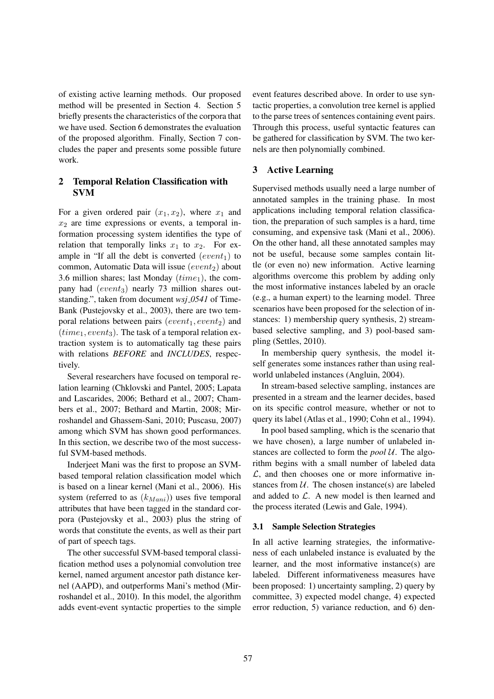of existing active learning methods. Our proposed method will be presented in Section 4. Section 5 briefly presents the characteristics of the corpora that we have used. Section 6 demonstrates the evaluation of the proposed algorithm. Finally, Section 7 concludes the paper and presents some possible future work.

# 2 Temporal Relation Classification with SVM

For a given ordered pair  $(x_1, x_2)$ , where  $x_1$  and  $x_2$  are time expressions or events, a temporal information processing system identifies the type of relation that temporally links  $x_1$  to  $x_2$ . For example in "If all the debt is converted  $(event_1)$  to common, Automatic Data will issue  $(event<sub>2</sub>)$  about 3.6 million shares; last Monday  $(time_1)$ , the company had  $(event_3)$  nearly 73 million shares outstanding.", taken from document *wsj 0541* of Time-Bank (Pustejovsky et al., 2003), there are two temporal relations between pairs  $(event_1, event_2)$  and  $(time_1, event_3)$ . The task of a temporal relation extraction system is to automatically tag these pairs with relations *BEFORE* and *INCLUDES*, respectively.

Several researchers have focused on temporal relation learning (Chklovski and Pantel, 2005; Lapata and Lascarides, 2006; Bethard et al., 2007; Chambers et al., 2007; Bethard and Martin, 2008; Mirroshandel and Ghassem-Sani, 2010; Puscasu, 2007) among which SVM has shown good performances. In this section, we describe two of the most successful SVM-based methods.

Inderjeet Mani was the first to propose an SVMbased temporal relation classification model which is based on a linear kernel (Mani et al., 2006). His system (referred to as  $(k_{Mani})$ ) uses five temporal attributes that have been tagged in the standard corpora (Pustejovsky et al., 2003) plus the string of words that constitute the events, as well as their part of part of speech tags.

The other successful SVM-based temporal classification method uses a polynomial convolution tree kernel, named argument ancestor path distance kernel (AAPD), and outperforms Mani's method (Mirroshandel et al., 2010). In this model, the algorithm adds event-event syntactic properties to the simple event features described above. In order to use syntactic properties, a convolution tree kernel is applied to the parse trees of sentences containing event pairs. Through this process, useful syntactic features can be gathered for classification by SVM. The two kernels are then polynomially combined.

# 3 Active Learning

Supervised methods usually need a large number of annotated samples in the training phase. In most applications including temporal relation classification, the preparation of such samples is a hard, time consuming, and expensive task (Mani et al., 2006). On the other hand, all these annotated samples may not be useful, because some samples contain little (or even no) new information. Active learning algorithms overcome this problem by adding only the most informative instances labeled by an oracle (e.g., a human expert) to the learning model. Three scenarios have been proposed for the selection of instances: 1) membership query synthesis, 2) streambased selective sampling, and 3) pool-based sampling (Settles, 2010).

In membership query synthesis, the model itself generates some instances rather than using realworld unlabeled instances (Angluin, 2004).

In stream-based selective sampling, instances are presented in a stream and the learner decides, based on its specific control measure, whether or not to query its label (Atlas et al., 1990; Cohn et al., 1994).

In pool based sampling, which is the scenario that we have chosen), a large number of unlabeled instances are collected to form the *pool* U. The algorithm begins with a small number of labeled data  $\mathcal{L}$ , and then chooses one or more informative instances from  $U$ . The chosen instance(s) are labeled and added to  $\mathcal{L}$ . A new model is then learned and the process iterated (Lewis and Gale, 1994).

### 3.1 Sample Selection Strategies

In all active learning strategies, the informativeness of each unlabeled instance is evaluated by the learner, and the most informative instance(s) are labeled. Different informativeness measures have been proposed: 1) uncertainty sampling, 2) query by committee, 3) expected model change, 4) expected error reduction, 5) variance reduction, and 6) den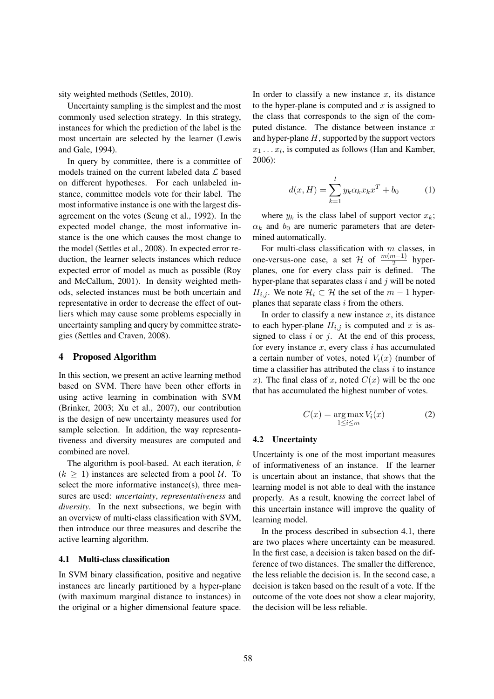sity weighted methods (Settles, 2010).

Uncertainty sampling is the simplest and the most commonly used selection strategy. In this strategy, instances for which the prediction of the label is the most uncertain are selected by the learner (Lewis and Gale, 1994).

In query by committee, there is a committee of models trained on the current labeled data  $\mathcal L$  based on different hypotheses. For each unlabeled instance, committee models vote for their label. The most informative instance is one with the largest disagreement on the votes (Seung et al., 1992). In the expected model change, the most informative instance is the one which causes the most change to the model (Settles et al., 2008). In expected error reduction, the learner selects instances which reduce expected error of model as much as possible (Roy and McCallum, 2001). In density weighted methods, selected instances must be both uncertain and representative in order to decrease the effect of outliers which may cause some problems especially in uncertainty sampling and query by committee strategies (Settles and Craven, 2008).

# 4 Proposed Algorithm

In this section, we present an active learning method based on SVM. There have been other efforts in using active learning in combination with SVM (Brinker, 2003; Xu et al., 2007), our contribution is the design of new uncertainty measures used for sample selection. In addition, the way representativeness and diversity measures are computed and combined are novel.

The algorithm is pool-based. At each iteration,  $k$  $(k \geq 1)$  instances are selected from a pool U. To select the more informative instance(s), three measures are used: *uncertainty*, *representativeness* and *diversity*. In the next subsections, we begin with an overview of multi-class classification with SVM, then introduce our three measures and describe the active learning algorithm.

# 4.1 Multi-class classification

In SVM binary classification, positive and negative instances are linearly partitioned by a hyper-plane (with maximum marginal distance to instances) in the original or a higher dimensional feature space.

In order to classify a new instance  $x$ , its distance to the hyper-plane is computed and  $x$  is assigned to the class that corresponds to the sign of the computed distance. The distance between instance  $x$ and hyper-plane  $H$ , supported by the support vectors  $x_1 \ldots x_l$ , is computed as follows (Han and Kamber, 2006):

$$
d(x, H) = \sum_{k=1}^{l} y_k \alpha_k x_k x^T + b_0 \tag{1}
$$

where  $y_k$  is the class label of support vector  $x_k$ ;  $\alpha_k$  and  $b_0$  are numeric parameters that are determined automatically.

For multi-class classification with  $m$  classes, in one-versus-one case, a set  $\mathcal{H}$  of  $\frac{m(m-1)}{2}$  hyperplanes, one for every class pair is defined. The hyper-plane that separates class  $i$  and  $j$  will be noted  $H_{i,j}$ . We note  $\mathcal{H}_i \subset \mathcal{H}$  the set of the  $m-1$  hyperplanes that separate class  $i$  from the others.

In order to classify a new instance  $x$ , its distance to each hyper-plane  $H_{i,j}$  is computed and x is assigned to class  $i$  or  $j$ . At the end of this process, for every instance  $x$ , every class  $i$  has accumulated a certain number of votes, noted  $V_i(x)$  (number of time a classifier has attributed the class  $i$  to instance x). The final class of x, noted  $C(x)$  will be the one that has accumulated the highest number of votes.

$$
C(x) = \underset{1 \le i \le m}{\arg \max} V_i(x) \tag{2}
$$

### 4.2 Uncertainty

Uncertainty is one of the most important measures of informativeness of an instance. If the learner is uncertain about an instance, that shows that the learning model is not able to deal with the instance properly. As a result, knowing the correct label of this uncertain instance will improve the quality of learning model.

In the process described in subsection 4.1, there are two places where uncertainty can be measured. In the first case, a decision is taken based on the difference of two distances. The smaller the difference, the less reliable the decision is. In the second case, a decision is taken based on the result of a vote. If the outcome of the vote does not show a clear majority, the decision will be less reliable.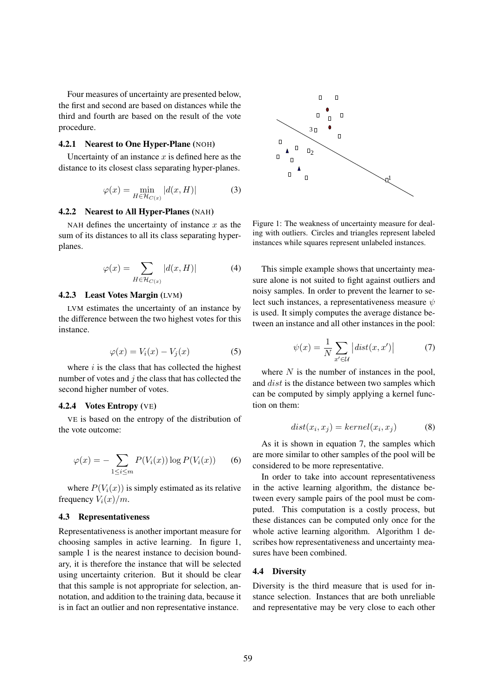Four measures of uncertainty are presented below, the first and second are based on distances while the third and fourth are based on the result of the vote procedure.

# 4.2.1 Nearest to One Hyper-Plane (NOH)

Uncertainty of an instance  $x$  is defined here as the distance to its closest class separating hyper-planes.

$$
\varphi(x) = \min_{H \in \mathcal{H}_{C(x)}} |d(x, H)| \tag{3}
$$

### 4.2.2 Nearest to All Hyper-Planes (NAH)

NAH defines the uncertainty of instance  $x$  as the sum of its distances to all its class separating hyperplanes.

$$
\varphi(x) = \sum_{H \in \mathcal{H}_{C(x)}} |d(x, H)| \tag{4}
$$

# 4.2.3 Least Votes Margin (LVM)

LVM estimates the uncertainty of an instance by the difference between the two highest votes for this instance.

$$
\varphi(x) = V_i(x) - V_j(x) \tag{5}
$$

where  $i$  is the class that has collected the highest number of votes and  $j$  the class that has collected the second higher number of votes.

### 4.2.4 Votes Entropy (VE)

VE is based on the entropy of the distribution of the vote outcome:

$$
\varphi(x) = -\sum_{1 \le i \le m} P(V_i(x)) \log P(V_i(x)) \qquad (6)
$$

where  $P(V_i(x))$  is simply estimated as its relative frequency  $V_i(x)/m$ .

#### 4.3 Representativeness

Representativeness is another important measure for choosing samples in active learning. In figure 1, sample 1 is the nearest instance to decision boundary, it is therefore the instance that will be selected using uncertainty criterion. But it should be clear that this sample is not appropriate for selection, annotation, and addition to the training data, because it is in fact an outlier and non representative instance.



Figure 1: The weakness of uncertainty measure for dealing with outliers. Circles and triangles represent labeled instances while squares represent unlabeled instances.

This simple example shows that uncertainty measure alone is not suited to fight against outliers and noisy samples. In order to prevent the learner to select such instances, a representativeness measure  $\psi$ is used. It simply computes the average distance between an instance and all other instances in the pool:

$$
\psi(x) = \frac{1}{N} \sum_{x' \in \mathcal{U}} |dist(x, x')| \tag{7}
$$

where  $N$  is the number of instances in the pool, and *dist* is the distance between two samples which can be computed by simply applying a kernel function on them:

$$
dist(x_i, x_j) = kernel(x_i, x_j)
$$
 (8)

As it is shown in equation 7, the samples which are more similar to other samples of the pool will be considered to be more representative.

In order to take into account representativeness in the active learning algorithm, the distance between every sample pairs of the pool must be computed. This computation is a costly process, but these distances can be computed only once for the whole active learning algorithm. Algorithm 1 describes how representativeness and uncertainty measures have been combined.

# 4.4 Diversity

Diversity is the third measure that is used for instance selection. Instances that are both unreliable and representative may be very close to each other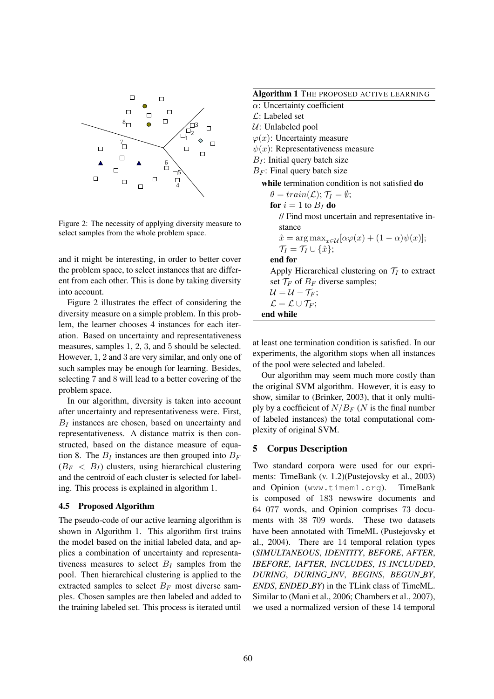

Figure 2: The necessity of applying diversity measure to select samples from the whole problem space.

and it might be interesting, in order to better cover the problem space, to select instances that are different from each other. This is done by taking diversity into account.

Figure 2 illustrates the effect of considering the diversity measure on a simple problem. In this problem, the learner chooses 4 instances for each iteration. Based on uncertainty and representativeness measures, samples 1, 2, 3, and 5 should be selected. However, 1, 2 and 3 are very similar, and only one of such samples may be enough for learning. Besides, selecting 7 and 8 will lead to a better covering of the problem space.

In our algorithm, diversity is taken into account after uncertainty and representativeness were. First,  $B_I$  instances are chosen, based on uncertainty and representativeness. A distance matrix is then constructed, based on the distance measure of equation 8. The  $B_I$  instances are then grouped into  $B_F$  $(B_F < B_I)$  clusters, using hierarchical clustering and the centroid of each cluster is selected for labeling. This process is explained in algorithm 1.

## 4.5 Proposed Algorithm

The pseudo-code of our active learning algorithm is shown in Algorithm 1. This algorithm first trains the model based on the initial labeled data, and applies a combination of uncertainty and representativeness measures to select  $B_I$  samples from the pool. Then hierarchical clustering is applied to the extracted samples to select  $B_F$  most diverse samples. Chosen samples are then labeled and added to the training labeled set. This process is iterated until

Algorithm 1 THE PROPOSED ACTIVE LEARNING

- $\alpha$ : Uncertainty coefficient
- $\mathcal{L}$ : Labeled set
- $U:$  Unlabeled pool
- $\varphi(x)$ : Uncertainty measure
- $\psi(x)$ : Representativeness measure
- $B_I$ : Initial query batch size
- $B_F$ : Final query batch size

while termination condition is not satisfied do

 $\theta = train(\mathcal{L}); \mathcal{T}_I = \emptyset;$ for  $i = 1$  to  $B_I$  do // Find most uncertain and representative instance  $\hat{x} = \arg \max_{x \in \mathcal{U}} [\alpha \varphi(x) + (1 - \alpha) \psi(x)];$  $\mathcal{T}_I = \mathcal{T}_I \cup {\hat{x}};$ end for Apply Hierarchical clustering on  $\mathcal{T}_I$  to extract set  $\mathcal{T}_F$  of  $B_F$  diverse samples;

$$
\mathcal{U} = \mathcal{U} - \mathcal{T}_F;
$$
  

$$
\mathcal{L} = \mathcal{L} \cup \mathcal{T}_F;
$$

end while

at least one termination condition is satisfied. In our experiments, the algorithm stops when all instances of the pool were selected and labeled.

Our algorithm may seem much more costly than the original SVM algorithm. However, it is easy to show, similar to (Brinker, 2003), that it only multiply by a coefficient of  $N/B_F$  (N is the final number of labeled instances) the total computational complexity of original SVM.

# 5 Corpus Description

Two standard corpora were used for our expriments: TimeBank (v. 1.2)(Pustejovsky et al., 2003) and Opinion (www.timeml.org). TimeBank is composed of 183 newswire documents and 64 077 words, and Opinion comprises 73 documents with 38 709 words. These two datasets have been annotated with TimeML (Pustejovsky et al., 2004). There are 14 temporal relation types (*SIMULTANEOUS*, *IDENTITY*, *BEFORE*, *AFTER*, *IBEFORE*, *IAFTER*, *INCLUDES*, *IS INCLUDED*, *DURING*, *DURING INV*, *BEGINS*, *BEGUN BY*, *ENDS*, *ENDED BY*) in the TLink class of TimeML. Similar to (Mani et al., 2006; Chambers et al., 2007), we used a normalized version of these 14 temporal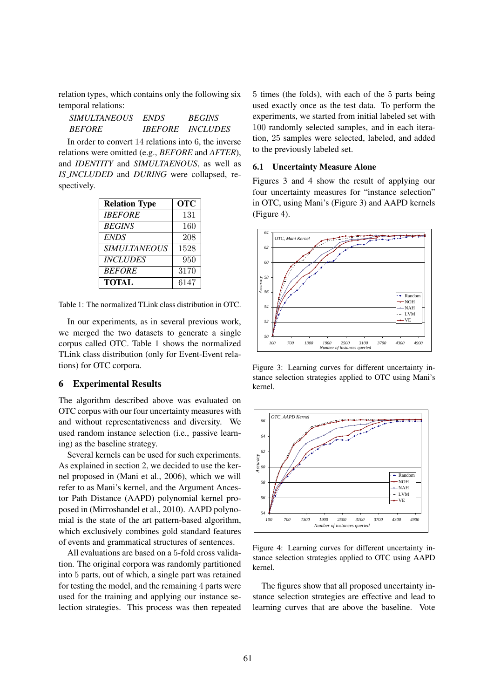relation types, which contains only the following six temporal relations:

| <i>SIMULTANEOUS</i> | <b>ENDS</b>           | <b>BEGINS</b>   |
|---------------------|-----------------------|-----------------|
| <i>BEFORE</i>       | <i><b>IBEFORE</b></i> | <i>INCLUDES</i> |

In order to convert 14 relations into 6, the inverse relations were omitted (e.g., *BEFORE* and *AFTER*), and *IDENTITY* and *SIMULTAENOUS*, as well as *IS INCLUDED* and *DURING* were collapsed, respectively.

| <b>Relation Type</b>   | <b>OTC</b> |
|------------------------|------------|
| <b>IBEFORE</b>         | 131        |
| <b>BEGINS</b>          | 160        |
| <b>ENDS</b>            | 208        |
| <b>SIMULTANEOUS</b>    | 1528       |
| <i><b>INCLUDES</b></i> | 950        |
| <b>BEFORE</b>          | 3170       |
| <b>TOTAL</b>           | 6147       |

Table 1: The normalized TLink class distribution in OTC.

In our experiments, as in several previous work, we merged the two datasets to generate a single corpus called OTC. Table 1 shows the normalized TLink class distribution (only for Event-Event relations) for OTC corpora.

# 6 Experimental Results

The algorithm described above was evaluated on OTC corpus with our four uncertainty measures with and without representativeness and diversity. We used random instance selection (i.e., passive learning) as the baseline strategy.

Several kernels can be used for such experiments. As explained in section 2, we decided to use the kernel proposed in (Mani et al., 2006), which we will refer to as Mani's kernel, and the Argument Ancestor Path Distance (AAPD) polynomial kernel proposed in (Mirroshandel et al., 2010). AAPD polynomial is the state of the art pattern-based algorithm, which exclusively combines gold standard features of events and grammatical structures of sentences.

All evaluations are based on a 5-fold cross validation. The original corpora was randomly partitioned into 5 parts, out of which, a single part was retained for testing the model, and the remaining 4 parts were used for the training and applying our instance selection strategies. This process was then repeated 5 times (the folds), with each of the 5 parts being used exactly once as the test data. To perform the experiments, we started from initial labeled set with 100 randomly selected samples, and in each iteration, 25 samples were selected, labeled, and added to the previously labeled set.

# 6.1 Uncertainty Measure Alone

Figures 3 and 4 show the result of applying our four uncertainty measures for "instance selection" in OTC, using Mani's (Figure 3) and AAPD kernels (Figure 4).



Figure 3: Learning curves for different uncertainty instance selection strategies applied to OTC using Mani's kernel.



Figure 4: Learning curves for different uncertainty instance selection strategies applied to OTC using AAPD kernel.

The figures show that all proposed uncertainty instance selection strategies are effective and lead to learning curves that are above the baseline. Vote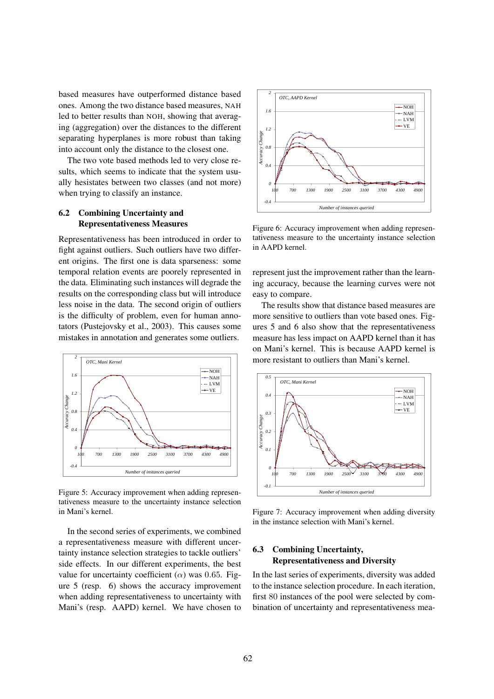based measures have outperformed distance based ones. Among the two distance based measures, NAH led to better results than NOH, showing that averaging (aggregation) over the distances to the different separating hyperplanes is more robust than taking into account only the distance to the closest one.

The two vote based methods led to very close results, which seems to indicate that the system usually hesistates between two classes (and not more) when trying to classify an instance.

# 6.2 Combining Uncertainty and Representativeness Measures

Representativeness has been introduced in order to fight against outliers. Such outliers have two different origins. The first one is data sparseness: some temporal relation events are poorely represented in the data. Eliminating such instances will degrade the results on the corresponding class but will introduce less noise in the data. The second origin of outliers is the difficulty of problem, even for human annotators (Pustejovsky et al., 2003). This causes some mistakes in annotation and generates some outliers.



Figure 5: Accuracy improvement when adding representativeness measure to the uncertainty instance selection in Mani's kernel.

In the second series of experiments, we combined a representativeness measure with different uncertainty instance selection strategies to tackle outliers' side effects. In our different experiments, the best value for uncertainty coefficient  $(\alpha)$  was 0.65. Figure 5 (resp. 6) shows the accuracy improvement when adding representativeness to uncertainty with Mani's (resp. AAPD) kernel. We have chosen to



Figure 6: Accuracy improvement when adding representativeness measure to the uncertainty instance selection in AAPD kernel.

represent just the improvement rather than the learning accuracy, because the learning curves were not easy to compare.

The results show that distance based measures are more sensitive to outliers than vote based ones. Figures 5 and 6 also show that the representativeness measure has less impact on AAPD kernel than it has on Mani's kernel. This is because AAPD kernel is more resistant to outliers than Mani's kernel.



Figure 7: Accuracy improvement when adding diversity in the instance selection with Mani's kernel.

# 6.3 Combining Uncertainty, Representativeness and Diversity

In the last series of experiments, diversity was added to the instance selection procedure. In each iteration, first 80 instances of the pool were selected by combination of uncertainty and representativeness mea-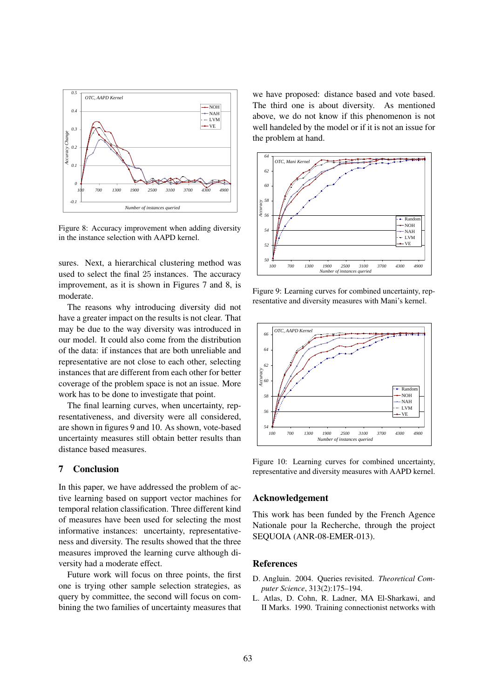

Figure 8: Accuracy improvement when adding diversity in the instance selection with AAPD kernel.

sures. Next, a hierarchical clustering method was used to select the final 25 instances. The accuracy improvement, as it is shown in Figures 7 and 8, is moderate.

The reasons why introducing diversity did not have a greater impact on the results is not clear. That may be due to the way diversity was introduced in our model. It could also come from the distribution of the data: if instances that are both unreliable and representative are not close to each other, selecting instances that are different from each other for better coverage of the problem space is not an issue. More work has to be done to investigate that point.

The final learning curves, when uncertainty, representativeness, and diversity were all considered, are shown in figures 9 and 10. As shown, vote-based uncertainty measures still obtain better results than distance based measures.

# 7 Conclusion

In this paper, we have addressed the problem of active learning based on support vector machines for temporal relation classification. Three different kind of measures have been used for selecting the most informative instances: uncertainty, representativeness and diversity. The results showed that the three measures improved the learning curve although diversity had a moderate effect.

Future work will focus on three points, the first one is trying other sample selection strategies, as query by committee, the second will focus on combining the two families of uncertainty measures that we have proposed: distance based and vote based. The third one is about diversity. As mentioned above, we do not know if this phenomenon is not well handeled by the model or if it is not an issue for the problem at hand.



Figure 9: Learning curves for combined uncertainty, representative and diversity measures with Mani's kernel.



Figure 10: Learning curves for combined uncertainty, representative and diversity measures with AAPD kernel.

### Acknowledgement

This work has been funded by the French Agence Nationale pour la Recherche, through the project SEQUOIA (ANR-08-EMER-013).

# References

- D. Angluin. 2004. Queries revisited. *Theoretical Computer Science*, 313(2):175–194.
- L. Atlas, D. Cohn, R. Ladner, MA El-Sharkawi, and II Marks. 1990. Training connectionist networks with